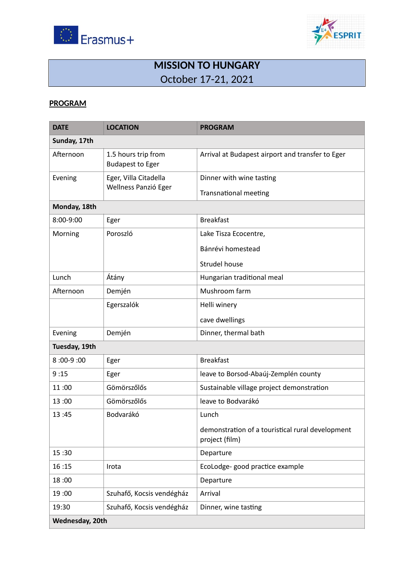



## **MISSION TO HUNGARY**  October 17-21, 2021

#### **PROGRAM**

| <b>DATE</b>     | <b>LOCATION</b>                                | <b>PROGRAM</b>                                                     |  |  |  |
|-----------------|------------------------------------------------|--------------------------------------------------------------------|--|--|--|
| Sunday, 17th    |                                                |                                                                    |  |  |  |
| Afternoon       | 1.5 hours trip from<br><b>Budapest to Eger</b> | Arrival at Budapest airport and transfer to Eger                   |  |  |  |
| Evening         | Eger, Villa Citadella                          | Dinner with wine tasting                                           |  |  |  |
|                 | Wellness Panzió Eger                           | <b>Transnational meeting</b>                                       |  |  |  |
| Monday, 18th    |                                                |                                                                    |  |  |  |
| 8:00-9:00       | Eger                                           | <b>Breakfast</b>                                                   |  |  |  |
| Morning         | Poroszló                                       | Lake Tisza Ecocentre,                                              |  |  |  |
|                 |                                                | Bánrévi homestead                                                  |  |  |  |
|                 |                                                | <b>Strudel house</b>                                               |  |  |  |
| Lunch           | Átány                                          | Hungarian traditional meal                                         |  |  |  |
| Afternoon       | Demjén                                         | Mushroom farm                                                      |  |  |  |
|                 | Egerszalók                                     | Helli winery                                                       |  |  |  |
|                 |                                                | cave dwellings                                                     |  |  |  |
| Evening         | Demjén                                         | Dinner, thermal bath                                               |  |  |  |
| Tuesday, 19th   |                                                |                                                                    |  |  |  |
| 8:00-9:00       | Eger                                           | <b>Breakfast</b>                                                   |  |  |  |
| 9:15            | Eger                                           | leave to Borsod-Abaúj-Zemplén county                               |  |  |  |
| 11:00           | Gömörszőlős                                    | Sustainable village project demonstration                          |  |  |  |
| 13:00           | Gömörszőlős                                    | leave to Bodvarákó                                                 |  |  |  |
| 13:45           | Bodvarákó                                      | Lunch                                                              |  |  |  |
|                 |                                                | demonstration of a touristical rural development<br>project (film) |  |  |  |
| 15:30           |                                                | Departure                                                          |  |  |  |
| 16:15           | Irota                                          | EcoLodge-good practice example                                     |  |  |  |
| 18:00           |                                                | Departure                                                          |  |  |  |
| 19:00           | Szuhafő, Kocsis vendégház                      | Arrival                                                            |  |  |  |
| 19:30           | Szuhafő, Kocsis vendégház                      | Dinner, wine tasting                                               |  |  |  |
| Wednesday, 20th |                                                |                                                                    |  |  |  |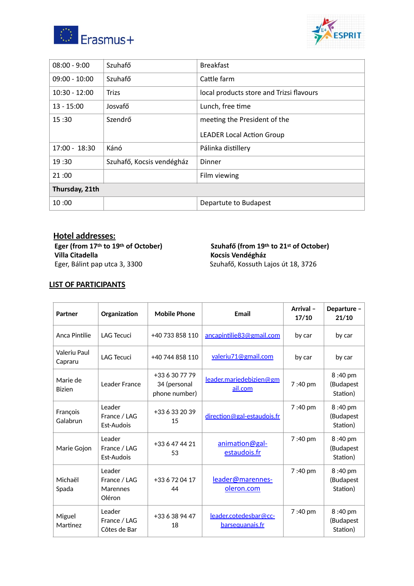



| $08:00 - 9:00$  | Szuhafő                   | <b>Breakfast</b>                         |  |  |
|-----------------|---------------------------|------------------------------------------|--|--|
| $09:00 - 10:00$ | Szuhafő                   | Cattle farm                              |  |  |
| $10:30 - 12:00$ | <b>Trizs</b>              | local products store and Trizsi flavours |  |  |
| $13 - 15:00$    | Josvafő                   | Lunch, free time                         |  |  |
| 15:30           | Szendrő                   | meeting the President of the             |  |  |
|                 |                           | <b>LEADER Local Action Group</b>         |  |  |
| $17:00 - 18:30$ | Kánó                      | Pálinka distillery                       |  |  |
| 19:30           | Szuhafő, Kocsis vendégház | Dinner                                   |  |  |
| 21:00           |                           | Film viewing                             |  |  |
| Thursday, 21th  |                           |                                          |  |  |
| 10:00           |                           | Departute to Budapest                    |  |  |

 **Hotel addresses: Villa Citadella**<br>
Eger, Bálint pap utca 3, 3300<br>
Szuhafő, Kossuth La

# Eger (from 17<sup>th</sup> to 19<sup>th</sup> of October) Szuhafő (from 19<sup>th</sup> to 21<sup>st</sup> of October)<br>Villa Citadella **interpretata külk** Kocsis Vendégház

Szuhafő, Kossuth Lajos út 18, 3726

### **LIST OF PARTICIPANTS**

| Partner                   | Organization                                 | <b>Mobile Phone</b>                             | Email                                    | Arrival-<br>17/10 | Departure -<br>21/10             |
|---------------------------|----------------------------------------------|-------------------------------------------------|------------------------------------------|-------------------|----------------------------------|
| Anca Pintilie             | <b>LAG Tecuci</b>                            | +40 733 858 110                                 | ancapintilie83@gmail.com                 | by car            | by car                           |
| Valeriu Paul<br>Capraru   | <b>LAG Tecuci</b>                            | +40 744 858 110                                 | valeriu71@gmail.com                      | by car            | by car                           |
| Marie de<br><b>Bizien</b> | Leader France                                | +33 6 30 77 79<br>34 (personal<br>phone number) | leader.mariedebizien@gm<br>ail.com       | 7:40 pm           | 8:40 pm<br>(Budapest<br>Station) |
| François<br>Galabrun      | Leader<br>France / LAG<br>Est-Audois         | +33 6 33 20 39<br>15                            | direction@gal-estaudois.fr               | 7:40 pm           | 8:40 pm<br>(Budapest<br>Station) |
| Marie Gojon               | Leader<br>France / LAG<br>Est-Audois         | +33 6 47 44 21<br>53                            | animation@gal-<br>estaudois.fr           | 7:40 pm           | 8:40 pm<br>(Budapest<br>Station) |
| Michaël<br>Spada          | Leader<br>France / LAG<br>Marennes<br>Oléron | +33 6 72 04 17<br>44                            | leader@marennes-<br>oleron.com           | 7:40 pm           | 8:40 pm<br>(Budapest<br>Station) |
| Miguel<br>Martinez        | Leader<br>France / LAG<br>Côtes de Bar       | +33 6 38 94 47<br>18                            | leader.cotedesbar@cc-<br>barsequanais.fr | 7:40 pm           | 8:40 pm<br>(Budapest<br>Station) |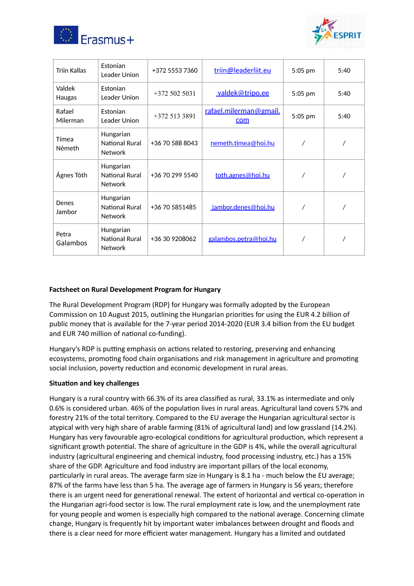



| <b>Triin Kallas</b>    | Estonian<br>Leader Union                      | +372 5553 7360  | triin@leaderliit.eu           | 5:05 pm | 5:40 |
|------------------------|-----------------------------------------------|-----------------|-------------------------------|---------|------|
| Valdek<br>Haugas       | <b>Estonian</b><br>Leader Union               | $+3725025031$   | <u>valdek@tripo.ee</u>        | 5:05 pm | 5:40 |
| Rafael<br>Milerman     | Estonian<br>Leader Union                      | $+3725133891$   | rafael.milerman@gmail.<br>com | 5:05 pm | 5:40 |
| Tímea<br><b>Németh</b> | Hungarian<br>National Rural<br><b>Network</b> | +36 70 588 8043 | nemeth.timea@hoi.hu           |         |      |
| Ágnes Tóth             | Hungarian<br>National Rural<br><b>Network</b> | +36 70 299 5540 | toth.agnes@hoi.hu             |         |      |
| Denes<br>Jambor        | Hungarian<br>National Rural<br><b>Network</b> | +36 70 5851485  | jambor.denes@hoi.hu           |         |      |
| Petra<br>Galambos      | Hungarian<br>National Rural<br><b>Network</b> | +36 30 9208062  | <u>galambos.petra@hoi.hu</u>  |         |      |

#### **Factsheet on Rural Development Program for Hungary**

The Rural Development Program (RDP) for Hungary was formally adopted by the European Commission on 10 August 2015, outlining the Hungarian priorities for using the EUR 4.2 billion of public money that is available for the 7-year period 2014-2020 (EUR 3.4 billion from the EU budget and EUR 740 million of national co-funding).

Hungary's RDP is putting emphasis on actions related to restoring, preserving and enhancing ecosystems, promoting food chain organisations and risk management in agriculture and promoting social inclusion, poverty reduction and economic development in rural areas.

#### **Situation and key challenges**

Hungary is a rural country with 66.3% of its area classified as rural, 33.1% as intermediate and only 0.6% is considered urban. 46% of the population lives in rural areas. Agricultural land covers 57% and forestry 21% of the total territory. Compared to the EU average the Hungarian agricultural sector is atypical with very high share of arable farming (81% of agricultural land) and low grassland (14.2%). Hungary has very favourable agro-ecological conditions for agricultural production, which represent a significant growth potential. The share of agriculture in the GDP is 4%, while the overall agricultural industry (agricultural engineering and chemical industry, food processing industry, etc.) has a 15% share of the GDP. Agriculture and food industry are important pillars of the local economy, particularly in rural areas. The average farm size in Hungary is 8.1 ha - much below the EU average; 87% of the farms have less than 5 ha. The average age of farmers in Hungary is 56 years; therefore there is an urgent need for generational renewal. The extent of horizontal and vertical co-operation in the Hungarian agri-food sector is low. The rural employment rate is low, and the unemployment rate for young people and women is especially high compared to the national average. Concerning climate change, Hungary is frequently hit by important water imbalances between drought and floods and there is a clear need for more efficient water management. Hungary has a limited and outdated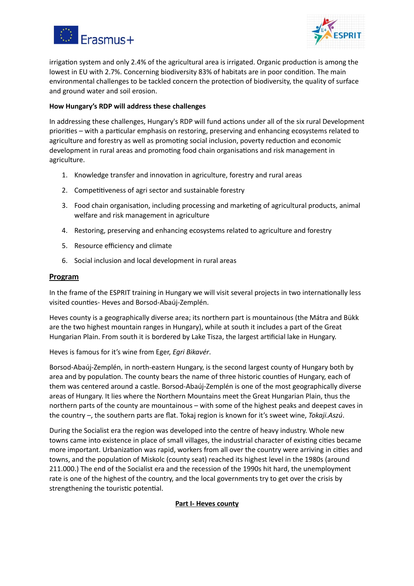



irrigation system and only 2.4% of the agricultural area is irrigated. Organic production is among the lowest in EU with 2.7%. Concerning biodiversity 83% of habitats are in poor condition. The main environmental challenges to be tackled concern the protection of biodiversity, the quality of surface and ground water and soil erosion.

#### **How Hungary's RDP will address these challenges**

In addressing these challenges, Hungary's RDP will fund actions under all of the six rural Development priorities – with a particular emphasis on restoring, preserving and enhancing ecosystems related to agriculture and forestry as well as promoting social inclusion, poverty reduction and economic development in rural areas and promoting food chain organisations and risk management in agriculture.

- 1. Knowledge transfer and innovation in agriculture, forestry and rural areas
- 2. Competitiveness of agri sector and sustainable forestry
- 3. Food chain organisation, including processing and marketing of agricultural products, animal welfare and risk management in agriculture
- 4. Restoring, preserving and enhancing ecosystems related to agriculture and forestry
- 5. Resource efficiency and climate
- 6. Social inclusion and local development in rural areas

#### **Program**

In the frame of the ESPRIT training in Hungary we will visit several projects in two internationally less visited counties- Heves and Borsod-Abaúj-Zemplén.

Heves county is a geographically diverse area; its northern part is mountainous (the Mátra and Bükk are the two highest mountain ranges in Hungary), while at south it includes a part of the Great Hungarian Plain. From south it is bordered by Lake Tisza, the largest artificial lake in Hungary.

Heves is famous for it's wine from Eger, *Egri Bikavér*.

Borsod-Abaúj-Zemplén, in north-eastern Hungary, is the second largest county of Hungary both by area and by population. The county bears the name of three historic counties of Hungary, each of them was centered around a castle. Borsod-Abaúj-Zemplén is one of the most geographically diverse areas of Hungary. It lies where the Northern Mountains meet the Great Hungarian Plain, thus the northern parts of the county are mountainous – with some of the highest peaks and deepest caves in the country –, the southern parts are flat. Tokaj region is known for it's sweet wine, *Tokaji.Aszú*.

During the Socialist era the region was developed into the centre of heavy industry. Whole new towns came into existence in place of small villages, the industrial character of existing cities became more important. Urbanization was rapid, workers from all over the country were arriving in cities and towns, and the population of Miskolc (county seat) reached its highest level in the 1980s (around 211.000.) The end of the Socialist era and the recession of the 1990s hit hard, the unemployment rate is one of the highest of the country, and the local governments try to get over the crisis by strengthening the touristic potential.

#### **Part I- Heves county**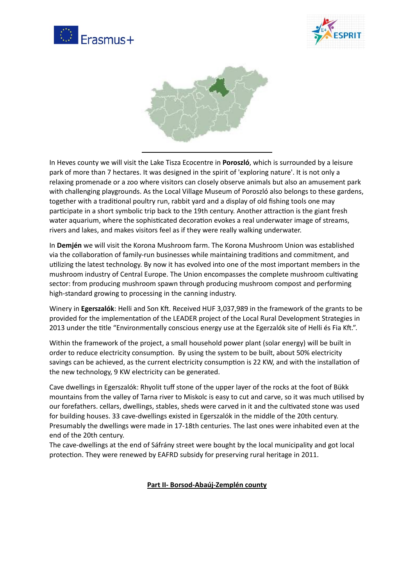





In Heves county we will visit the Lake Tisza Ecocentre in **Poroszló**, which is surrounded by a leisure park of more than 7 hectares. It was designed in the spirit of 'exploring nature'. It is not only a relaxing promenade or a zoo where visitors can closely observe animals but also an amusement park with challenging playgrounds. As the Local Village Museum of Poroszló also belongs to these gardens, together with a traditional poultry run, rabbit yard and a display of old fishing tools one may participate in a short symbolic trip back to the 19th century. Another attraction is the giant fresh water aquarium, where the sophisticated decoration evokes a real underwater image of streams, rivers and lakes, and makes visitors feel as if they were really walking underwater.

In **Demjén** we will visit the Korona Mushroom farm. The Korona Mushroom Union was established via the collaboration of family-run businesses while maintaining traditions and commitment, and utilizing the latest technology. By now it has evolved into one of the most important members in the mushroom industry of Central Europe. The Union encompasses the complete mushroom cultivating sector: from producing mushroom spawn through producing mushroom compost and performing high-standard growing to processing in the canning industry.

Winery in **Egerszalók**: Helli and Son Kft. Received HUF 3,037,989 in the framework of the grants to be provided for the implementation of the LEADER project of the Local Rural Development Strategies in 2013 under the title "Environmentally conscious energy use at the Egerzalók site of Helli és Fia Kft.".

Within the framework of the project, a small household power plant (solar energy) will be built in order to reduce electricity consumption. By using the system to be built, about 50% electricity savings can be achieved, as the current electricity consumption is 22 KW, and with the installation of the new technology, 9 KW electricity can be generated.

Cave dwellings in Egerszalók: Rhyolit tuff stone of the upper layer of the rocks at the foot of Bükk mountains from the valley of Tarna river to Miskolc is easy to cut and carve, so it was much utilised by our forefathers. cellars, dwellings, stables, sheds were carved in it and the cultivated stone was used for building houses. 33 cave-dwellings existed in Egerszalók in the middle of the 20th century. Presumably the dwellings were made in 17-18th centuries. The last ones were inhabited even at the end of the 20th century.

The cave-dwellings at the end of Sáfrány street were bought by the local municipality and got local protection. They were renewed by EAFRD subsidy for preserving rural heritage in 2011.

**Part II- Borsod-Abaúj-Zemplén county**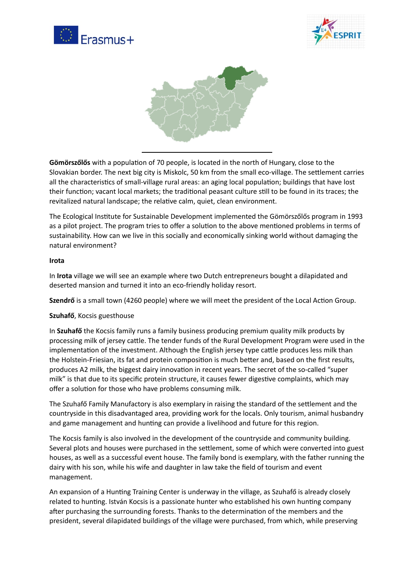





Gömörszőlős with a population of 70 people, is located in the north of Hungary, close to the Slovakian border. The next big city is Miskolc, 50 km from the small eco-village. The settlement carries all the characteristics of small-village rural areas: an aging local population; buildings that have lost their function; vacant local markets; the traditional peasant culture still to be found in its traces; the revitalized natural landscape; the relative calm, quiet, clean environment.

The Ecological Institute for Sustainable Development implemented the Gömörszőlős program in 1993 as a pilot project. The program tries to offer a solution to the above mentioned problems in terms of sustainability. How can we live in this socially and economically sinking world without damaging the natural environment?

#### **Irota**

In **Irota** village we will see an example where two Dutch entrepreneurs bought a dilapidated and deserted mansion and turned it into an eco-friendly holiday resort.

**Szendrő** is a small town (4260 people) where we will meet the president of the Local Action Group.

#### **Szuhafő**, Kocsis guesthouse

In **Szuhafő** the Kocsis family runs a family business producing premium quality milk products by processing milk of jersey cattle. The tender funds of the Rural Development Program were used in the implementation of the investment. Although the English jersey type cattle produces less milk than the Holstein-Friesian, its fat and protein composition is much better and, based on the first results, produces A2 milk, the biggest dairy innovation in recent years. The secret of the so-called "super milk" is that due to its specific protein structure, it causes fewer digestive complaints, which may offer a solution for those who have problems consuming milk.

The Szuhafő Family Manufactory is also exemplary in raising the standard of the seflement and the countryside in this disadvantaged area, providing work for the locals. Only tourism, animal husbandry and game management and hunting can provide a livelihood and future for this region.

The Kocsis family is also involved in the development of the countryside and community building. Several plots and houses were purchased in the settlement, some of which were converted into guest houses, as well as a successful event house. The family bond is exemplary, with the father running the dairy with his son, while his wife and daughter in law take the field of tourism and event management.

An expansion of a Hunting Training Center is underway in the village, as Szuhafő is already closely related to hunting. István Kocsis is a passionate hunter who established his own hunting company after purchasing the surrounding forests. Thanks to the determination of the members and the president, several dilapidated buildings of the village were purchased, from which, while preserving